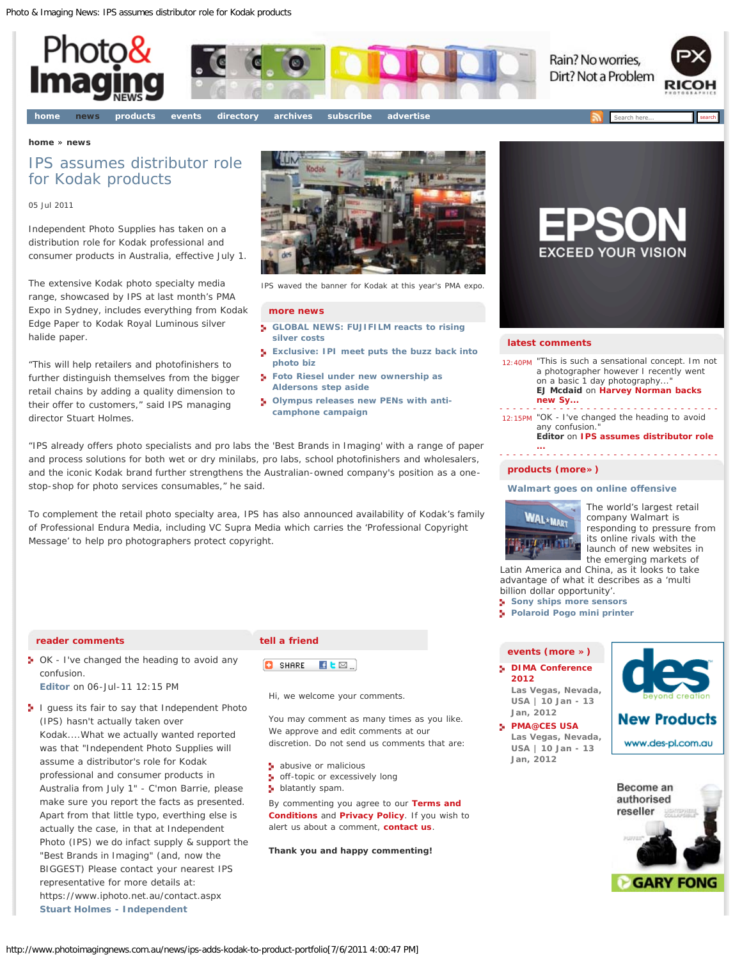<span id="page-0-0"></span>

#### **[home](http://www.photoimagingnews.com.au/)** » **[news](http://www.photoimagingnews.com.au/news-)**

# IPS assumes distributor role for Kodak products

### 05 Jul 2011

Independent Photo Supplies has taken on a distribution role for Kodak professional and consumer products in Australia, effective July 1.

The extensive Kodak photo specialty media range, showcased by IPS at last month's PMA Expo in Sydney, includes everything from Kodak Edge Paper to Kodak Royal Luminous silver halide paper.

"This will help retailers and photofinishers to further distinguish themselves from the bigger retail chains by adding a quality dimension to their offer to customers," said IPS managing director Stuart Holmes.



IPS waved the banner for Kodak at this year's PMA expo.

#### **[more news](http://www.photoimagingnews.com.au/index.cfm?objectid=9d36d9a1-dd2c-11dd-b98b001fd08aa651)**

- **[GLOBAL NEWS: FUJIFILM reacts to rising](http://www.photoimagingnews.com.au/news/global-news-fujifilm-reacts-to-rising-silver-costs) [silver costs](http://www.photoimagingnews.com.au/news/global-news-fujifilm-reacts-to-rising-silver-costs)**
- **[Exclusive: IPI meet puts the buzz back into](http://www.photoimagingnews.com.au/news/exclusive-ipi-meet-puts-the-buzz-back-into-photo-biz) [photo biz](http://www.photoimagingnews.com.au/news/exclusive-ipi-meet-puts-the-buzz-back-into-photo-biz)**
- **[Foto Riesel under new ownership as](http://www.photoimagingnews.com.au/news/foto-riesel-under-new-ownership-as-aldersons-step-aside) [Aldersons step aside](http://www.photoimagingnews.com.au/news/foto-riesel-under-new-ownership-as-aldersons-step-aside)**
- **[Olympus releases new PENs with anti](http://www.photoimagingnews.com.au/news/olympus-releases-new-pens-with-anti-camphone-campaign)[camphone campaign](http://www.photoimagingnews.com.au/news/olympus-releases-new-pens-with-anti-camphone-campaign)**

"IPS already offers photo specialists and pro labs the 'Best Brands in Imaging' with a range of paper and process solutions for both wet or dry minilabs, pro labs, school photofinishers and wholesalers, and the iconic Kodak brand further strengthens the Australian-owned company's position as a onestop-shop for photo services consumables," he said.

To complement the retail photo specialty area, IPS has also announced availability of Kodak's family of Professional Endura Media, including VC Supra Media which carries the 'Professional Copyright Message' to help pro photographers protect copyright.

#### **reader comments**

**D** OK - I've changed the heading to avoid any confusion.

**[Editor](http://photoandimagingnews.com.au/)** on 06-Jul-11 12:15 PM

**I** guess its fair to say that Independent Photo (IPS) hasn't actually taken over Kodak....What we actually wanted reported was that "Independent Photo Supplies will assume a distributor's role for Kodak professional and consumer products in Australia from July 1" - C'mon Barrie, please make sure you report the facts as presented. Apart from that little typo, everthing else is actually the case, in that at Independent Photo (IPS) we do infact supply & support the "Best Brands in Imaging" (and, now the BIGGEST) Please contact your nearest IPS representative for more details at: https://www.iphoto.net.au/contact.aspx **[Stuart Holmes - Independent](http://www.iphoto.net.au/)**

#### **tell a friend**

SHARE EL⊠…

Hi, we welcome your comments.

You may comment as many times as you like. We approve and edit comments at our discretion. Do not send us comments that are:

- **abusive or malicious**
- off-topic or excessively long
- **blatantly spam.**

By commenting you agree to our **[Terms and](http://www.photoimagingnews.com.au/footer/terms-and-conditions) [Conditions](http://www.photoimagingnews.com.au/footer/terms-and-conditions)** and **[Privacy Policy](http://www.photoimagingnews.com.au/footer/privacy-policy)**. If you wish to alert us about a comment, **[contact us](http://www.photoimagingnews.com.au/)**.

**Thank you and happy commenting!**



### **latest comments**

12:40PM *"This is such a sensational concept. Im not a photographer however I recently went*  $\alpha$ *n a basic 1 day photography...* **EJ Mcdaid** on **[Harvey Norman backs](http://www.photoimagingnews.com.au/news/harvey-norman-backs-new-sydney-photo-show-in-2012) [new Sy...](http://www.photoimagingnews.com.au/news/harvey-norman-backs-new-sydney-photo-show-in-2012)**

12:15PM *"OK - I've changed the heading to avoid* any confusion. **Editor** on **[IPS assumes distributor role](#page-0-0)**

**[...](#page-0-0)**

# **[products \(more»\)](http://www.photoimagingnews.com.au/products)**

## **[Walmart goes on online offensive](http://www.photoimagingnews.com.au/news/walmart-goes-on-online-offensive)**



The world's largest retail company Walmart is responding to pressure from its online rivals with the launch of new websites in the emerging markets of

Latin America and China, as it looks to take advantage of what it describes as a 'multi billion dollar opportunity'.

- **[Sony ships more sensors](http://www.photoimagingnews.com.au/news/sony-ships-more-sensors)**
- **[Polaroid Pogo mini printer](http://www.photoimagingnews.com.au/news/polaroid-pogo-mini-printer)**

# **[events \(more »\)](http://www.photoimagingnews.com.au/events-)**

**[DIMA Conference](http://www.photoimagingnews.com.au/event/dima-conference-2012) [2012](http://www.photoimagingnews.com.au/event/dima-conference-2012) Las Vegas, Nevada, USA | 10 Jan - 13 Jan, 2012**

**[PMA@CES USA](http://www.photoimagingnews.com.au/event/pma-ces-usa) Las Vegas, Nevada, USA | 10 Jan - 13 Jan, 2012**



**New Products** www.des-pl.com.au